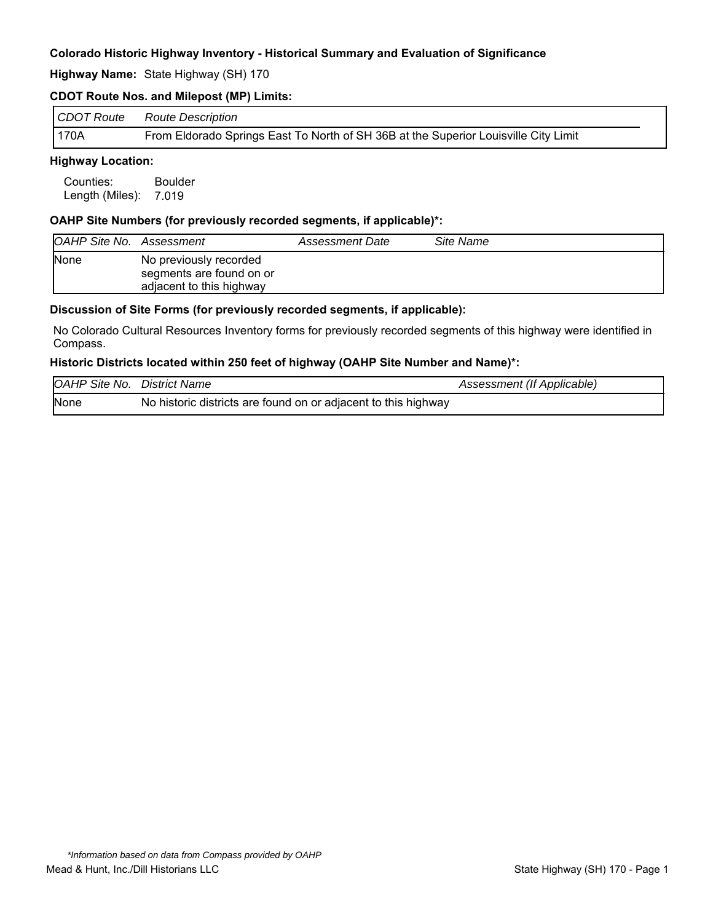**Highway Name:** State Highway (SH) 170

#### **CDOT Route Nos. and Milepost (MP) Limits:**

| CDOT Route | Route Description                                                                   |
|------------|-------------------------------------------------------------------------------------|
| 170A       | From Eldorado Springs East To North of SH 36B at the Superior Louisville City Limit |

#### **Highway Location:**

Counties: Boulder Length (Miles): 7.019

#### **OAHP Site Numbers (for previously recorded segments, if applicable)\*:**

| OAHP Site No. Assessment |                                                                                | Assessment Date | Site Name |
|--------------------------|--------------------------------------------------------------------------------|-----------------|-----------|
| <b>None</b>              | No previously recorded<br>segments are found on or<br>adjacent to this highway |                 |           |

#### **Discussion of Site Forms (for previously recorded segments, if applicable):**

No Colorado Cultural Resources Inventory forms for previously recorded segments of this highway were identified in Compass.

#### **Historic Districts located within 250 feet of highway (OAHP Site Number and Name)\*:**

| <b>OAHP Site No. District Name</b> |                                                                | Assessment (If Applicable) |
|------------------------------------|----------------------------------------------------------------|----------------------------|
| None                               | No historic districts are found on or adjacent to this highway |                            |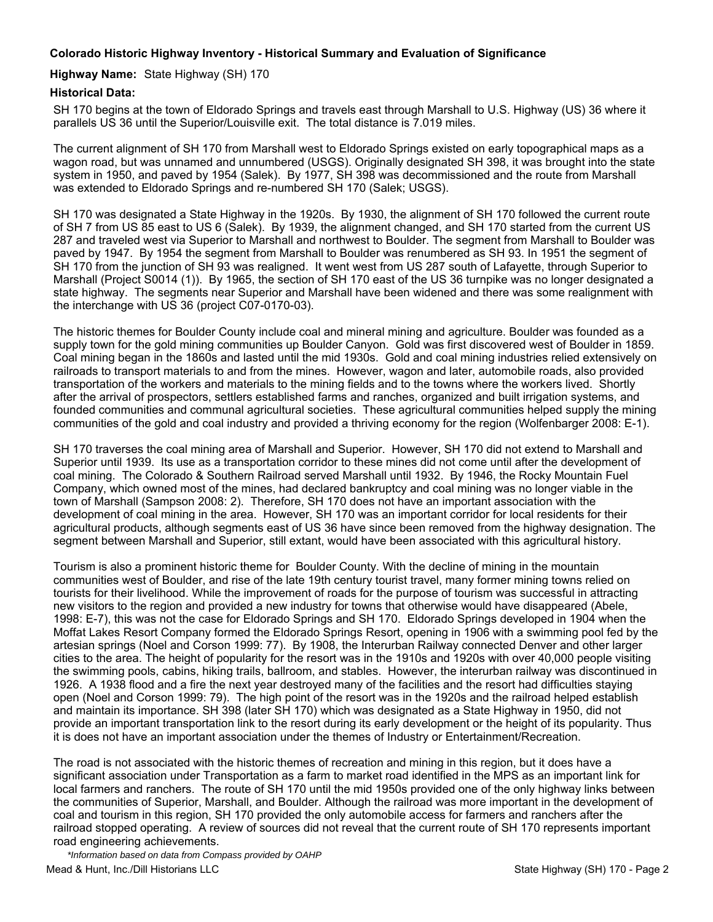#### **Highway Name:** State Highway (SH) 170

#### **Historical Data:**

SH 170 begins at the town of Eldorado Springs and travels east through Marshall to U.S. Highway (US) 36 where it parallels US 36 until the Superior/Louisville exit. The total distance is 7.019 miles.

The current alignment of SH 170 from Marshall west to Eldorado Springs existed on early topographical maps as a wagon road, but was unnamed and unnumbered (USGS). Originally designated SH 398, it was brought into the state system in 1950, and paved by 1954 (Salek). By 1977, SH 398 was decommissioned and the route from Marshall was extended to Eldorado Springs and re-numbered SH 170 (Salek; USGS).

SH 170 was designated a State Highway in the 1920s. By 1930, the alignment of SH 170 followed the current route of SH 7 from US 85 east to US 6 (Salek). By 1939, the alignment changed, and SH 170 started from the current US 287 and traveled west via Superior to Marshall and northwest to Boulder. The segment from Marshall to Boulder was paved by 1947. By 1954 the segment from Marshall to Boulder was renumbered as SH 93. In 1951 the segment of SH 170 from the junction of SH 93 was realigned. It went west from US 287 south of Lafayette, through Superior to Marshall (Project S0014 (1)). By 1965, the section of SH 170 east of the US 36 turnpike was no longer designated a state highway. The segments near Superior and Marshall have been widened and there was some realignment with the interchange with US 36 (project C07-0170-03).

The historic themes for Boulder County include coal and mineral mining and agriculture. Boulder was founded as a supply town for the gold mining communities up Boulder Canyon. Gold was first discovered west of Boulder in 1859. Coal mining began in the 1860s and lasted until the mid 1930s. Gold and coal mining industries relied extensively on railroads to transport materials to and from the mines. However, wagon and later, automobile roads, also provided transportation of the workers and materials to the mining fields and to the towns where the workers lived. Shortly after the arrival of prospectors, settlers established farms and ranches, organized and built irrigation systems, and founded communities and communal agricultural societies. These agricultural communities helped supply the mining communities of the gold and coal industry and provided a thriving economy for the region (Wolfenbarger 2008: E-1).

SH 170 traverses the coal mining area of Marshall and Superior. However, SH 170 did not extend to Marshall and Superior until 1939. Its use as a transportation corridor to these mines did not come until after the development of coal mining. The Colorado & Southern Railroad served Marshall until 1932. By 1946, the Rocky Mountain Fuel Company, which owned most of the mines, had declared bankruptcy and coal mining was no longer viable in the town of Marshall (Sampson 2008: 2). Therefore, SH 170 does not have an important association with the development of coal mining in the area. However, SH 170 was an important corridor for local residents for their agricultural products, although segments east of US 36 have since been removed from the highway designation. The segment between Marshall and Superior, still extant, would have been associated with this agricultural history.

Tourism is also a prominent historic theme for Boulder County. With the decline of mining in the mountain communities west of Boulder, and rise of the late 19th century tourist travel, many former mining towns relied on tourists for their livelihood. While the improvement of roads for the purpose of tourism was successful in attracting new visitors to the region and provided a new industry for towns that otherwise would have disappeared (Abele, 1998: E-7), this was not the case for Eldorado Springs and SH 170. Eldorado Springs developed in 1904 when the Moffat Lakes Resort Company formed the Eldorado Springs Resort, opening in 1906 with a swimming pool fed by the artesian springs (Noel and Corson 1999: 77). By 1908, the Interurban Railway connected Denver and other larger cities to the area. The height of popularity for the resort was in the 1910s and 1920s with over 40,000 people visiting the swimming pools, cabins, hiking trails, ballroom, and stables. However, the interurban railway was discontinued in 1926. A 1938 flood and a fire the next year destroyed many of the facilities and the resort had difficulties staying open (Noel and Corson 1999: 79). The high point of the resort was in the 1920s and the railroad helped establish and maintain its importance. SH 398 (later SH 170) which was designated as a State Highway in 1950, did not provide an important transportation link to the resort during its early development or the height of its popularity. Thus it is does not have an important association under the themes of Industry or Entertainment/Recreation.

The road is not associated with the historic themes of recreation and mining in this region, but it does have a significant association under Transportation as a farm to market road identified in the MPS as an important link for local farmers and ranchers. The route of SH 170 until the mid 1950s provided one of the only highway links between the communities of Superior, Marshall, and Boulder. Although the railroad was more important in the development of coal and tourism in this region, SH 170 provided the only automobile access for farmers and ranchers after the railroad stopped operating. A review of sources did not reveal that the current route of SH 170 represents important road engineering achievements.

Mead & Hunt, Inc./Dill Historians LLC **State Highway (SH) 170 - Page 2** *\*Information based on data from Compass provided by OAHP*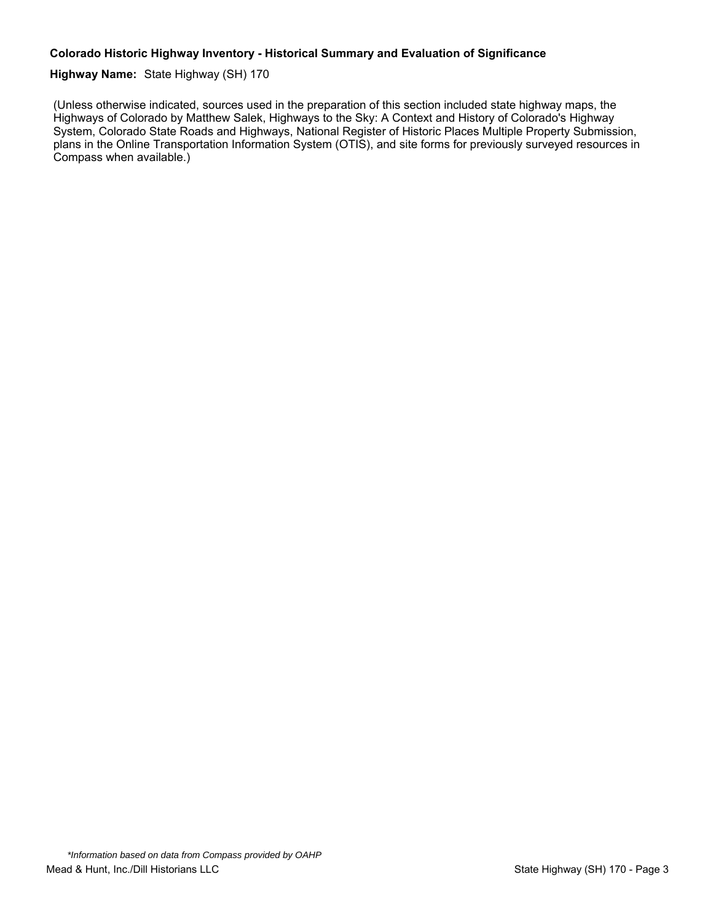#### **Highway Name:** State Highway (SH) 170

(Unless otherwise indicated, sources used in the preparation of this section included state highway maps, the Highways of Colorado by Matthew Salek, Highways to the Sky: A Context and History of Colorado's Highway System, Colorado State Roads and Highways, National Register of Historic Places Multiple Property Submission, plans in the Online Transportation Information System (OTIS), and site forms for previously surveyed resources in Compass when available.)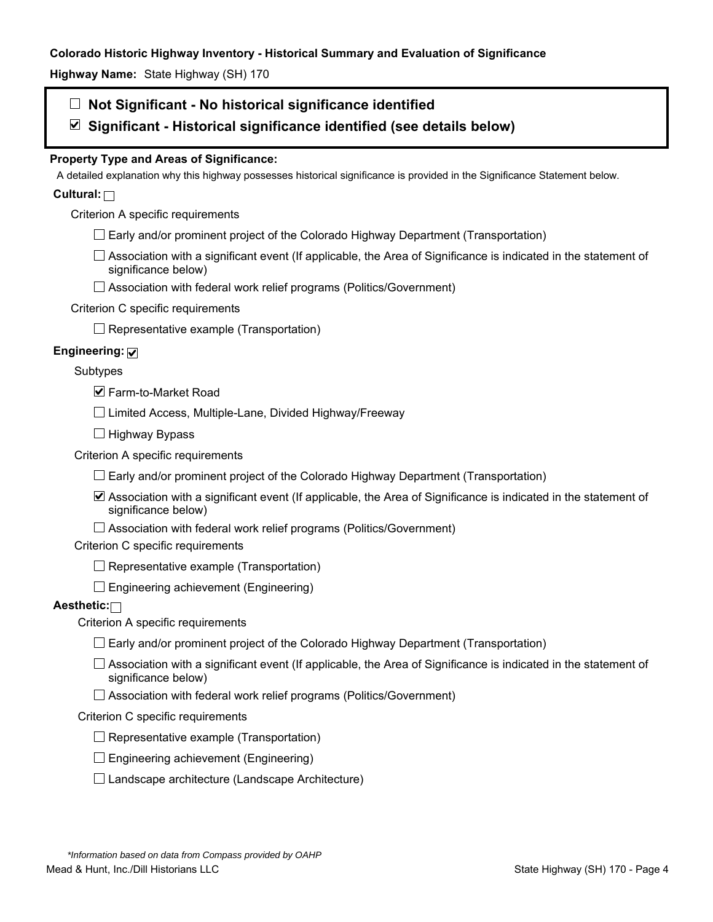**Highway Name:** State Highway (SH) 170

# **Not Significant - No historical significance identified**

**Significant - Historical significance identified (see details below)** 

# **Property Type and Areas of Significance:**

A detailed explanation why this highway possesses historical significance is provided in the Significance Statement below.

# **Cultural:**

Criterion A specific requirements

- $\Box$  Early and/or prominent project of the Colorado Highway Department (Transportation)
- $\Box$  Association with a significant event (If applicable, the Area of Significance is indicated in the statement of significance below)
- □ Association with federal work relief programs (Politics/Government)

#### Criterion C specific requirements

 $\Box$  Representative example (Transportation)

### **Engineering:**

Subtypes

 $\blacksquare$  **Farm-to-Market Road** 

 $\Box$  Limited Access, Multiple-Lane, Divided Highway/Freeway

 $\Box$  Highway Bypass

Criterion A specific requirements

 $\Box$  Early and/or prominent project of the Colorado Highway Department (Transportation)

Association with a significant event (If applicable, the Area of Significance is indicated in the statement of significance below)

 $\Box$  Association with federal work relief programs (Politics/Government)

Criterion C specific requirements

 $\Box$  Representative example (Transportation)

 $\Box$  Engineering achievement (Engineering)

### **Aesthetic:**

Criterion A specific requirements

- $\Box$  Early and/or prominent project of the Colorado Highway Department (Transportation)
- $\Box$  Association with a significant event (If applicable, the Area of Significance is indicated in the statement of significance below)
- $\Box$  Association with federal work relief programs (Politics/Government)

#### Criterion C specific requirements

- $\Box$  Representative example (Transportation)
- $\square$  Engineering achievement (Engineering)
- $\square$  Landscape architecture (Landscape Architecture)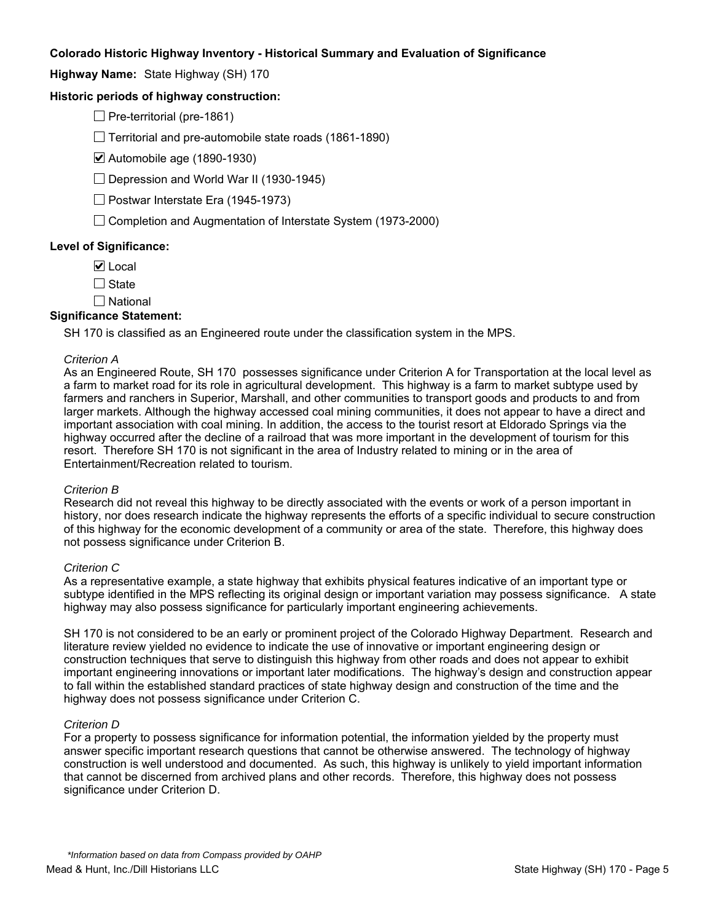**Highway Name:** State Highway (SH) 170

#### **Historic periods of highway construction:**

 $\Box$  Pre-territorial (pre-1861)

 $\Box$  Territorial and pre-automobile state roads (1861-1890)

Automobile age (1890-1930)

 $\Box$  Depression and World War II (1930-1945)

 $\Box$  Postwar Interstate Era (1945-1973)

 $\Box$  Completion and Augmentation of Interstate System (1973-2000)

#### **Level of Significance:**

 $\nabla$  Local

 $\Box$  State

National

#### **Significance Statement:**

SH 170 is classified as an Engineered route under the classification system in the MPS.

#### *Criterion A*

As an Engineered Route, SH 170 possesses significance under Criterion A for Transportation at the local level as a farm to market road for its role in agricultural development. This highway is a farm to market subtype used by farmers and ranchers in Superior, Marshall, and other communities to transport goods and products to and from larger markets. Although the highway accessed coal mining communities, it does not appear to have a direct and important association with coal mining. In addition, the access to the tourist resort at Eldorado Springs via the highway occurred after the decline of a railroad that was more important in the development of tourism for this resort. Therefore SH 170 is not significant in the area of Industry related to mining or in the area of Entertainment/Recreation related to tourism.

#### *Criterion B*

Research did not reveal this highway to be directly associated with the events or work of a person important in history, nor does research indicate the highway represents the efforts of a specific individual to secure construction of this highway for the economic development of a community or area of the state. Therefore, this highway does not possess significance under Criterion B.

#### *Criterion C*

As a representative example, a state highway that exhibits physical features indicative of an important type or subtype identified in the MPS reflecting its original design or important variation may possess significance. A state highway may also possess significance for particularly important engineering achievements.

SH 170 is not considered to be an early or prominent project of the Colorado Highway Department. Research and literature review yielded no evidence to indicate the use of innovative or important engineering design or construction techniques that serve to distinguish this highway from other roads and does not appear to exhibit important engineering innovations or important later modifications. The highway's design and construction appear to fall within the established standard practices of state highway design and construction of the time and the highway does not possess significance under Criterion C.

#### *Criterion D*

For a property to possess significance for information potential, the information yielded by the property must answer specific important research questions that cannot be otherwise answered. The technology of highway construction is well understood and documented. As such, this highway is unlikely to yield important information that cannot be discerned from archived plans and other records. Therefore, this highway does not possess significance under Criterion D.